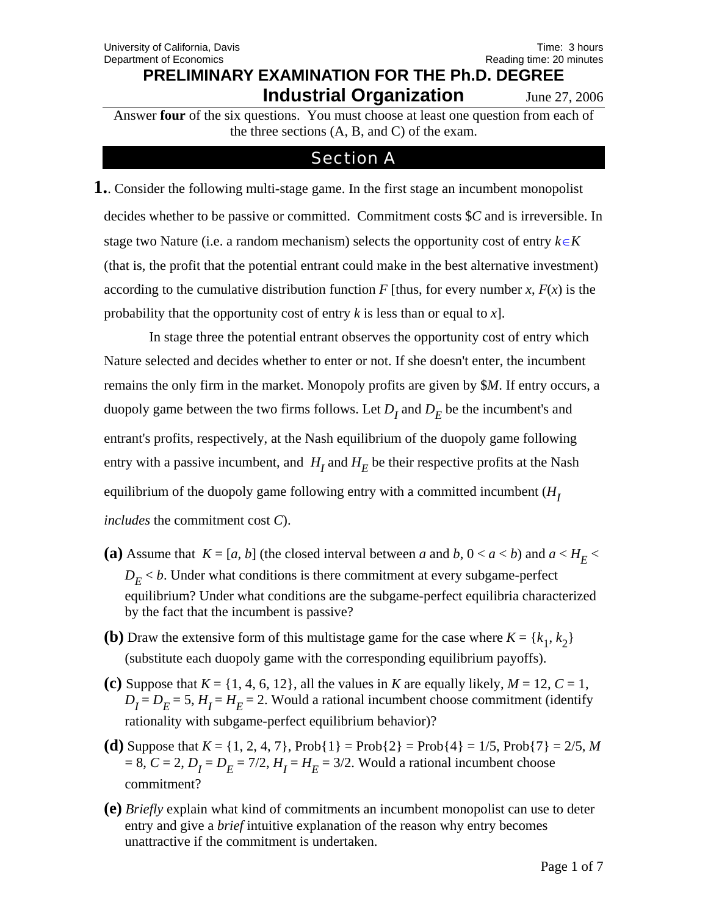Answer **four** of the six questions. You must choose at least one question from each of the three sections (A, B, and C) of the exam.

## **Section A**

**1.**. Consider the following multi-stage game. In the first stage an incumbent monopolist decides whether to be passive or committed. Commitment costs \$*C* and is irreversible. In stage two Nature (i.e. a random mechanism) selects the opportunity cost of entry  $k \in K$ (that is, the profit that the potential entrant could make in the best alternative investment) according to the cumulative distribution function *F* [thus, for every number *x*,  $F(x)$  is the probability that the opportunity cost of entry *k* is less than or equal to *x*].

 In stage three the potential entrant observes the opportunity cost of entry which Nature selected and decides whether to enter or not. If she doesn't enter, the incumbent remains the only firm in the market. Monopoly profits are given by \$*M*. If entry occurs, a duopoly game between the two firms follows. Let  $D_I$  and  $D_E$  be the incumbent's and entrant's profits, respectively, at the Nash equilibrium of the duopoly game following entry with a passive incumbent, and  $H_I$  and  $H_E$  be their respective profits at the Nash equilibrium of the duopoly game following entry with a committed incumbent  $(H<sub>I</sub>)$ *includes* the commitment cost *C*).

- (a) Assume that  $K = [a, b]$  (the closed interval between *a* and *b*,  $0 < a < b$ ) and  $a < H<sub>F</sub>$  $D<sub>E</sub> < b$ . Under what conditions is there commitment at every subgame-perfect equilibrium? Under what conditions are the subgame-perfect equilibria characterized by the fact that the incumbent is passive?
- **(b)** Draw the extensive form of this multistage game for the case where  $K = \{k_1, k_2\}$ (substitute each duopoly game with the corresponding equilibrium payoffs).
- (c) Suppose that  $K = \{1, 4, 6, 12\}$ , all the values in *K* are equally likely,  $M = 12$ ,  $C = 1$ ,  $D_I = D_E = 5$ ,  $H_I = H_E = 2$ . Would a rational incumbent choose commitment (identify rationality with subgame-perfect equilibrium behavior)?
- **(d)** Suppose that  $K = \{1, 2, 4, 7\}$ ,  $Prob\{1\} = Prob\{2\} = Prob\{4\} = 1/5$ ,  $Prob\{7\} = 2/5$ , *M*  $= 8, C = 2, D<sub>I</sub> = D<sub>E</sub> = 7/2, H<sub>I</sub> = H<sub>E</sub> = 3/2$ . Would a rational incumbent choose commitment?
- **(e)** *Briefly* explain what kind of commitments an incumbent monopolist can use to deter entry and give a *brief* intuitive explanation of the reason why entry becomes unattractive if the commitment is undertaken.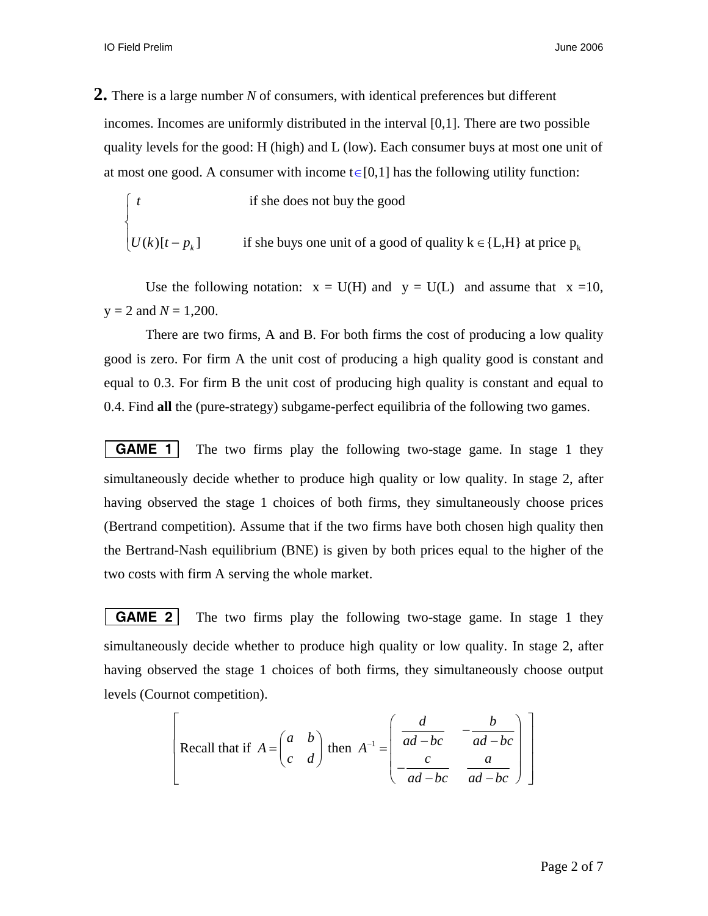**2.** There is a large number *N* of consumers, with identical preferences but different incomes. Incomes are uniformly distributed in the interval [0,1]. There are two possible quality levels for the good: H (high) and L (low). Each consumer buys at most one unit of at most one good. A consumer with income  $t \in [0,1]$  has the following utility function:

if she does not buy the good  
\n
$$
\begin{cases}\nt & \text{if she does not buy the good} \\
U(k)[t - p_k] & \text{if she buys one unit of a good of quality k \in \{L, H\} at price p_k\n\end{cases}
$$

Use the following notation:  $x = U(H)$  and  $y = U(L)$  and assume that  $x = 10$ ,  $y = 2$  and  $N = 1,200$ .

There are two firms, A and B. For both firms the cost of producing a low quality good is zero. For firm A the unit cost of producing a high quality good is constant and equal to 0.3. For firm B the unit cost of producing high quality is constant and equal to 0.4. Find **all** the (pure-strategy) subgame-perfect equilibria of the following two games.

**GAME 1** The two firms play the following two-stage game. In stage 1 they simultaneously decide whether to produce high quality or low quality. In stage 2, after having observed the stage 1 choices of both firms, they simultaneously choose prices (Bertrand competition). Assume that if the two firms have both chosen high quality then the Bertrand-Nash equilibrium (BNE) is given by both prices equal to the higher of the two costs with firm A serving the whole market.

**GAME 2** The two firms play the following two-stage game. In stage 1 they simultaneously decide whether to produce high quality or low quality. In stage 2, after having observed the stage 1 choices of both firms, they simultaneously choose output levels (Cournot competition).

Recall that if 
$$
A = \begin{pmatrix} a & b \\ c & d \end{pmatrix}
$$
 then  $A^{-1} = \begin{pmatrix} \frac{d}{ad - bc} & -\frac{b}{ad - bc} \\ -\frac{c}{ad - bc} & \frac{a}{ad - bc} \end{pmatrix}$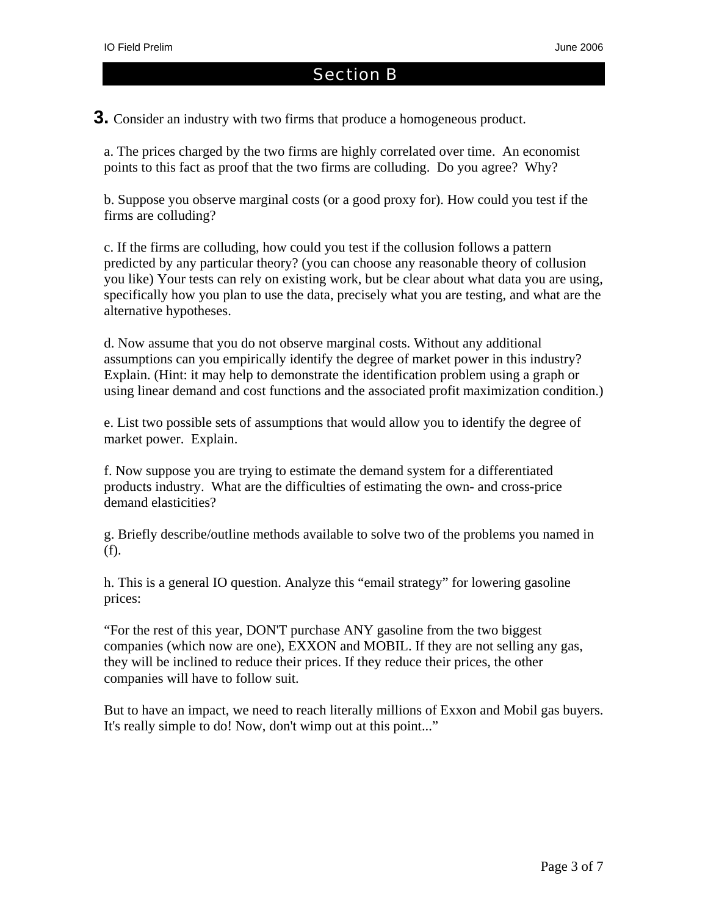### Section B

**3.** Consider an industry with two firms that produce a homogeneous product.

a. The prices charged by the two firms are highly correlated over time. An economist points to this fact as proof that the two firms are colluding. Do you agree? Why?

b. Suppose you observe marginal costs (or a good proxy for). How could you test if the firms are colluding?

c. If the firms are colluding, how could you test if the collusion follows a pattern predicted by any particular theory? (you can choose any reasonable theory of collusion you like) Your tests can rely on existing work, but be clear about what data you are using, specifically how you plan to use the data, precisely what you are testing, and what are the alternative hypotheses.

d. Now assume that you do not observe marginal costs. Without any additional assumptions can you empirically identify the degree of market power in this industry? Explain. (Hint: it may help to demonstrate the identification problem using a graph or using linear demand and cost functions and the associated profit maximization condition.)

e. List two possible sets of assumptions that would allow you to identify the degree of market power. Explain.

f. Now suppose you are trying to estimate the demand system for a differentiated products industry. What are the difficulties of estimating the own- and cross-price demand elasticities?

g. Briefly describe/outline methods available to solve two of the problems you named in (f).

h. This is a general IO question. Analyze this "email strategy" for lowering gasoline prices:

"For the rest of this year, DON'T purchase ANY gasoline from the two biggest companies (which now are one), EXXON and MOBIL. If they are not selling any gas, they will be inclined to reduce their prices. If they reduce their prices, the other companies will have to follow suit.

But to have an impact, we need to reach literally millions of Exxon and Mobil gas buyers. It's really simple to do! Now, don't wimp out at this point..."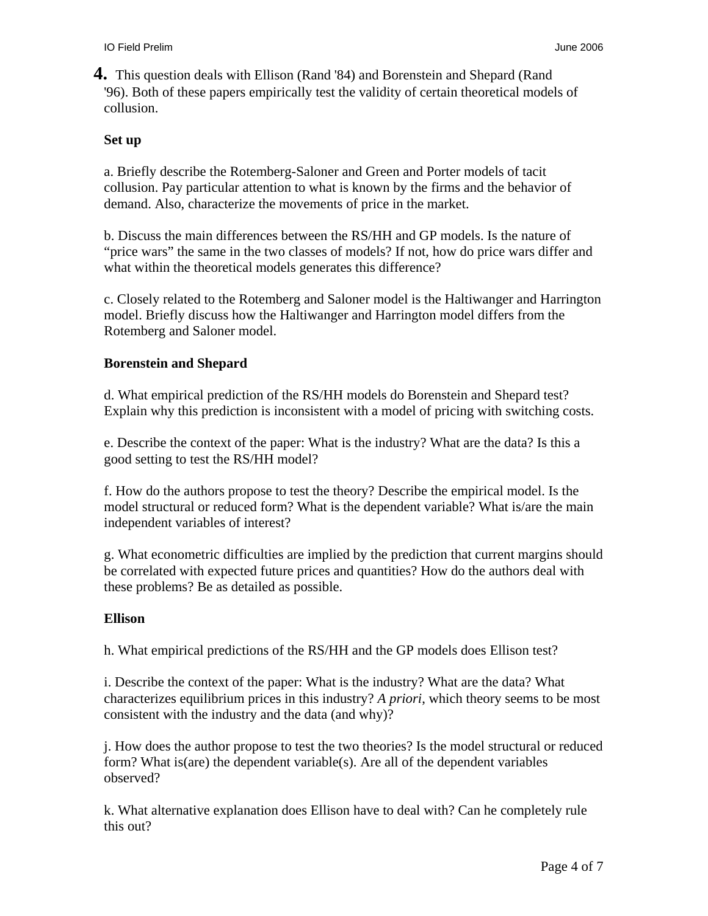**4.** This question deals with Ellison (Rand '84) and Borenstein and Shepard (Rand '96). Both of these papers empirically test the validity of certain theoretical models of collusion.

#### **Set up**

a. Briefly describe the Rotemberg-Saloner and Green and Porter models of tacit collusion. Pay particular attention to what is known by the firms and the behavior of demand. Also, characterize the movements of price in the market.

b. Discuss the main differences between the RS/HH and GP models. Is the nature of "price wars" the same in the two classes of models? If not, how do price wars differ and what within the theoretical models generates this difference?

c. Closely related to the Rotemberg and Saloner model is the Haltiwanger and Harrington model. Briefly discuss how the Haltiwanger and Harrington model differs from the Rotemberg and Saloner model.

### **Borenstein and Shepard**

d. What empirical prediction of the RS/HH models do Borenstein and Shepard test? Explain why this prediction is inconsistent with a model of pricing with switching costs.

e. Describe the context of the paper: What is the industry? What are the data? Is this a good setting to test the RS/HH model?

f. How do the authors propose to test the theory? Describe the empirical model. Is the model structural or reduced form? What is the dependent variable? What is/are the main independent variables of interest?

g. What econometric difficulties are implied by the prediction that current margins should be correlated with expected future prices and quantities? How do the authors deal with these problems? Be as detailed as possible.

#### **Ellison**

h. What empirical predictions of the RS/HH and the GP models does Ellison test?

i. Describe the context of the paper: What is the industry? What are the data? What characterizes equilibrium prices in this industry? *A priori*, which theory seems to be most consistent with the industry and the data (and why)?

j. How does the author propose to test the two theories? Is the model structural or reduced form? What is(are) the dependent variable(s). Are all of the dependent variables observed?

k. What alternative explanation does Ellison have to deal with? Can he completely rule this out?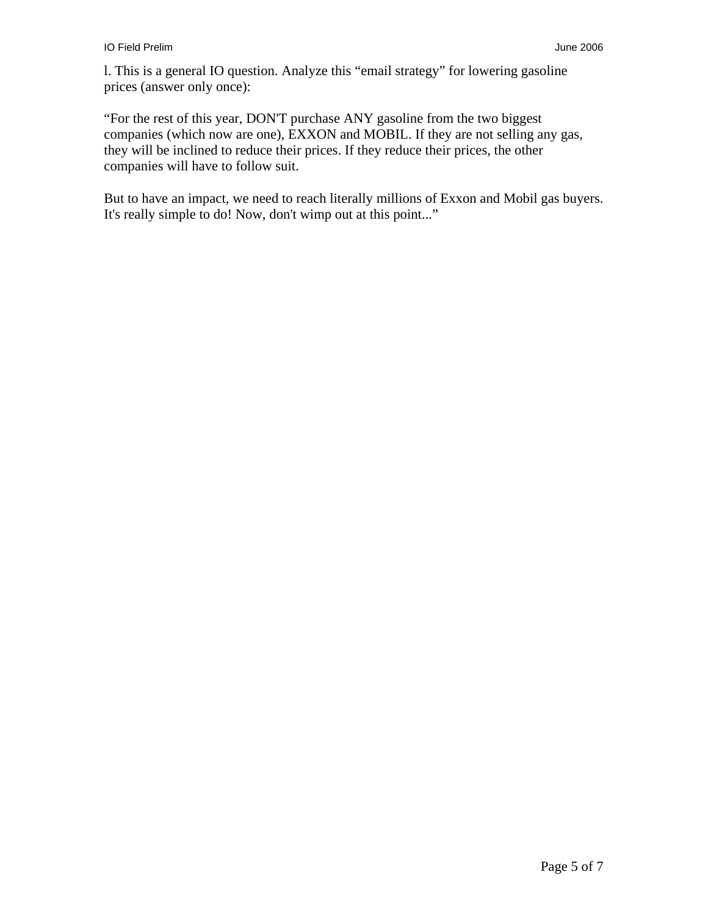l. This is a general IO question. Analyze this "email strategy" for lowering gasoline prices (answer only once):

"For the rest of this year, DON'T purchase ANY gasoline from the two biggest companies (which now are one), EXXON and MOBIL. If they are not selling any gas, they will be inclined to reduce their prices. If they reduce their prices, the other companies will have to follow suit.

But to have an impact, we need to reach literally millions of Exxon and Mobil gas buyers. It's really simple to do! Now, don't wimp out at this point..."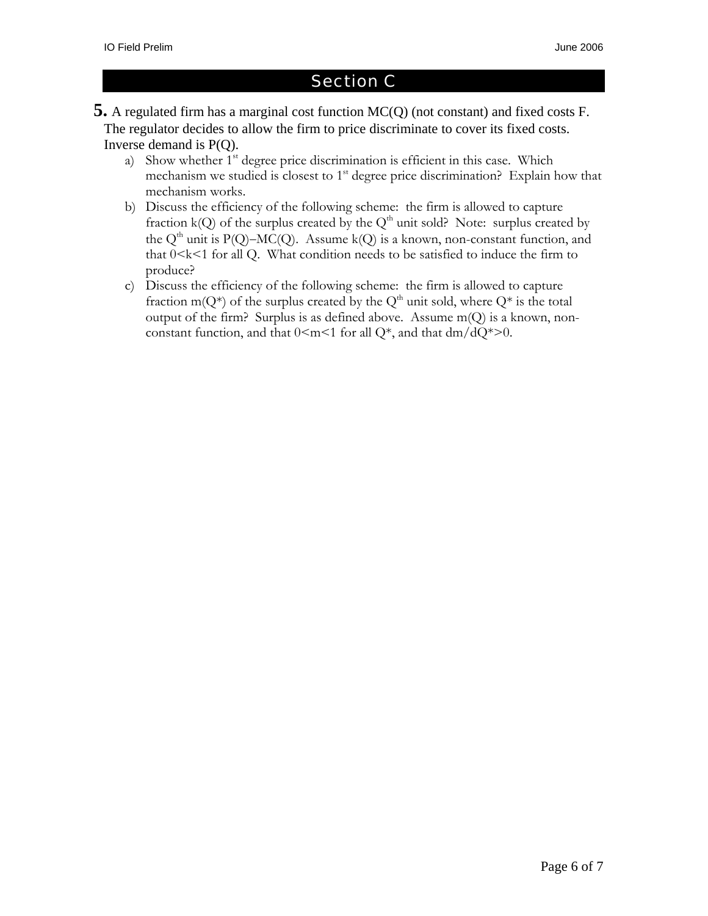# Section C

- **5.** A regulated firm has a marginal cost function MC(Q) (not constant) and fixed costs F. The regulator decides to allow the firm to price discriminate to cover its fixed costs. Inverse demand is P(Q).
	- a) Show whether 1<sup>st</sup> degree price discrimination is efficient in this case. Which mechanism we studied is closest to  $1<sup>st</sup>$  degree price discrimination? Explain how that mechanism works.
	- b) Discuss the efficiency of the following scheme: the firm is allowed to capture fraction  $k(Q)$  of the surplus created by the  $Q<sup>th</sup>$  unit sold? Note: surplus created by the Q<sup>th</sup> unit is P(Q)–MC(Q). Assume k(Q) is a known, non-constant function, and that  $0 < k < 1$  for all Q. What condition needs to be satisfied to induce the firm to produce?
	- c) Discuss the efficiency of the following scheme: the firm is allowed to capture fraction m( $Q^*$ ) of the surplus created by the  $Q^{\text{th}}$  unit sold, where  $Q^*$  is the total output of the firm? Surplus is as defined above. Assume  $m(Q)$  is a known, nonconstant function, and that  $0 \le m \le 1$  for all Q\*, and that dm/dQ\*>0.